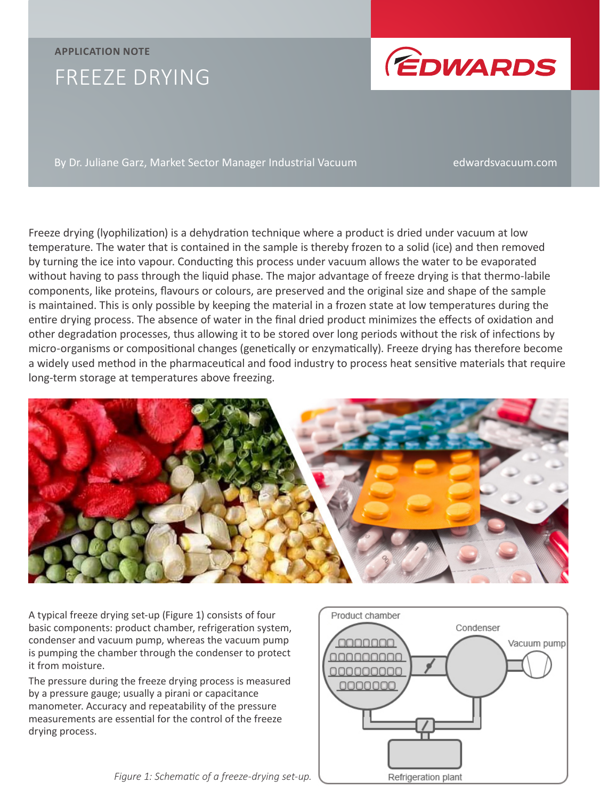## **APPLICATION NOTE** FREEZE DRYING



By Dr. Juliane Garz, Market Sector Manager Industrial Vacuum edwardsvacuum.com

Freeze drying (lyophilization) is a dehydration technique where a product is dried under vacuum at low temperature. The water that is contained in the sample is thereby frozen to a solid (ice) and then removed by turning the ice into vapour. Conducting this process under vacuum allows the water to be evaporated without having to pass through the liquid phase. The major advantage of freeze drying is that thermo-labile components, like proteins, flavours or colours, are preserved and the original size and shape of the sample is maintained. This is only possible by keeping the material in a frozen state at low temperatures during the entire drying process. The absence of water in the final dried product minimizes the effects of oxidation and other degradation processes, thus allowing it to be stored over long periods without the risk of infections by micro-organisms or compositional changes (genetically or enzymatically). Freeze drying has therefore become a widely used method in the pharmaceutical and food industry to process heat sensitive materials that require long-term storage at temperatures above freezing.



A typical freeze drying set-up (Figure 1) consists of four basic components: product chamber, refrigeration system, condenser and vacuum pump, whereas the vacuum pump is pumping the chamber through the condenser to protect it from moisture.

The pressure during the freeze drying process is measured by a pressure gauge; usually a pirani or capacitance manometer. Accuracy and repeatability of the pressure measurements are essential for the control of the freeze drying process.

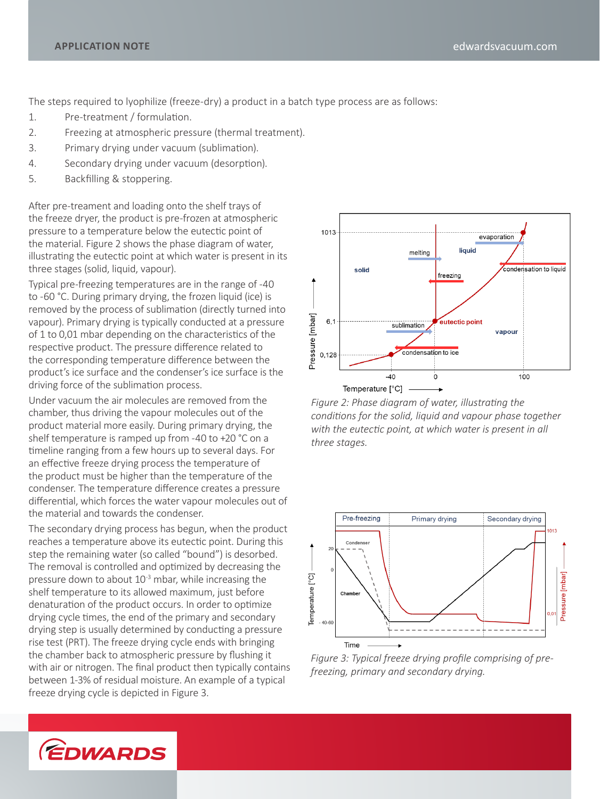The steps required to lyophilize (freeze-dry) a product in a batch type process are as follows:

- 1. Pre-treatment / formulation.
- 2. Freezing at atmospheric pressure (thermal treatment).
- 3. Primary drying under vacuum (sublimation).
- 4. Secondary drying under vacuum (desorption).
- 5. Backfilling & stoppering.

After pre-treament and loading onto the shelf trays of the freeze dryer, the product is pre-frozen at atmospheric pressure to a temperature below the eutectic point of the material. Figure 2 shows the phase diagram of water, illustrating the eutectic point at which water is present in its three stages (solid, liquid, vapour).

Typical pre-freezing temperatures are in the range of -40 to -60 °C. During primary drying, the frozen liquid (ice) is removed by the process of sublimation (directly turned into vapour). Primary drying is typically conducted at a pressure of 1 to 0,01 mbar depending on the characteristics of the respective product. The pressure difference related to the corresponding temperature difference between the product's ice surface and the condenser's ice surface is the driving force of the sublimation process.

Under vacuum the air molecules are removed from the chamber, thus driving the vapour molecules out of the product material more easily. During primary drying, the shelf temperature is ramped up from -40 to +20 °C on a timeline ranging from a few hours up to several days. For an effective freeze drying process the temperature of the product must be higher than the temperature of the condenser. The temperature difference creates a pressure differential, which forces the water vapour molecules out of the material and towards the condenser.

The secondary drying process has begun, when the product reaches a temperature above its eutectic point. During this step the remaining water (so called "bound") is desorbed. The removal is controlled and optimized by decreasing the pressure down to about  $10^{-3}$  mbar, while increasing the shelf temperature to its allowed maximum, just before denaturation of the product occurs. In order to optimize drying cycle times, the end of the primary and secondary drying step is usually determined by conducting a pressure rise test (PRT). The freeze drying cycle ends with bringing the chamber back to atmospheric pressure by flushing it with air or nitrogen. The final product then typically contains between 1-3% of residual moisture. An example of a typical freeze drying cycle is depicted in Figure 3.



*Figure 2: Phase diagram of water, illustrating the conditions for the solid, liquid and vapour phase together with the eutectic point, at which water is present in all three stages.*



*Figure 3: Typical freeze drying profile comprising of prefreezing, primary and secondary drying.*